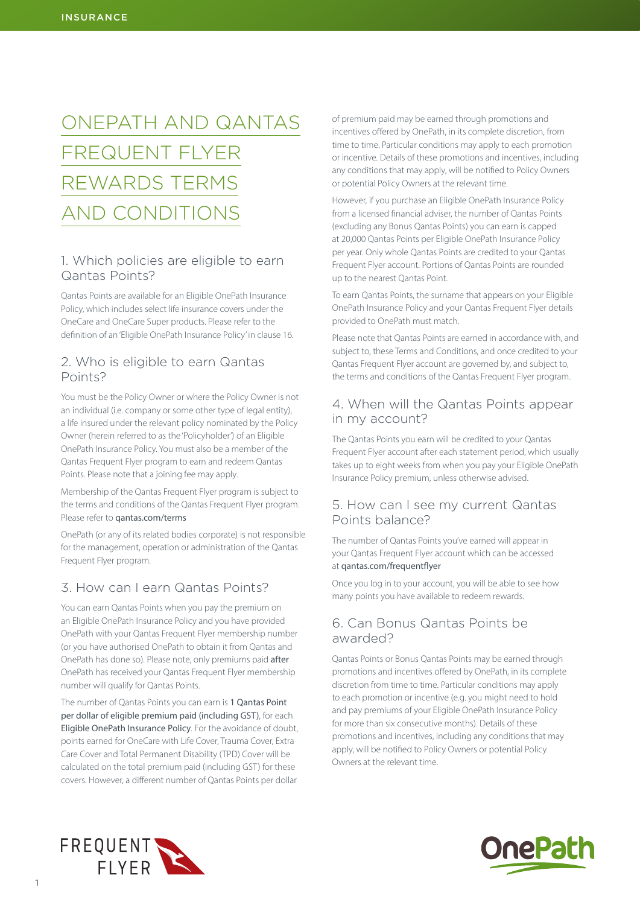# ONEPATH AND QANTAS FREQUENT FLYER REWARDS TERMS AND CONDITIONS

### 1. Which policies are eligible to earn Qantas Points?

Qantas Points are available for an Eligible OnePath Insurance Policy, which includes select life insurance covers under the OneCare and OneCare Super products. Please refer to the definition of an 'Eligible OnePath Insurance Policy' in clause 16.

#### 2. Who is eligible to earn Qantas Points?

You must be the Policy Owner or where the Policy Owner is not an individual (i.e. company or some other type of legal entity), a life insured under the relevant policy nominated by the Policy Owner (herein referred to as the 'Policyholder') of an Eligible OnePath Insurance Policy. You must also be a member of the Qantas Frequent Flyer program to earn and redeem Qantas Points. Please note that a joining fee may apply.

Membership of the Qantas Frequent Flyer program is subject to the terms and conditions of the Qantas Frequent Flyer program. Please refer to [qantas.com/terms](http://qantas.com/terms)

OnePath (or any of its related bodies corporate) is not responsible for the management, operation or administration of the Qantas Frequent Flyer program.

## 3. How can I earn Qantas Points?

You can earn Qantas Points when you pay the premium on an Eligible OnePath Insurance Policy and you have provided OnePath with your Qantas Frequent Flyer membership number (or you have authorised OnePath to obtain it from Qantas and OnePath has done so). Please note, only premiums paid after OnePath has received your Qantas Frequent Flyer membership number will qualify for Qantas Points.

The number of Qantas Points you can earn is 1 Qantas Point per dollar of eligible premium paid (including GST), for each Eligible OnePath Insurance Policy. For the avoidance of doubt, points earned for OneCare with Life Cover, Trauma Cover, Extra Care Cover and Total Permanent Disability (TPD) Cover will be calculated on the total premium paid (including GST) for these covers. However, a different number of Qantas Points per dollar

of premium paid may be earned through promotions and incentives offered by OnePath, in its complete discretion, from time to time. Particular conditions may apply to each promotion or incentive. Details of these promotions and incentives, including any conditions that may apply, will be notified to Policy Owners or potential Policy Owners at the relevant time.

However, if you purchase an Eligible OnePath Insurance Policy from a licensed financial adviser, the number of Qantas Points (excluding any Bonus Qantas Points) you can earn is capped at 20,000 Qantas Points per Eligible OnePath Insurance Policy per year. Only whole Qantas Points are credited to your Qantas Frequent Flyer account. Portions of Qantas Points are rounded up to the nearest Qantas Point.

To earn Qantas Points, the surname that appears on your Eligible OnePath Insurance Policy and your Qantas Frequent Flyer details provided to OnePath must match.

Please note that Qantas Points are earned in accordance with, and subject to, these Terms and Conditions, and once credited to your Qantas Frequent Flyer account are governed by, and subject to, the terms and conditions of the Qantas Frequent Flyer program.

### 4. When will the Qantas Points appear in my account?

The Qantas Points you earn will be credited to your Qantas Frequent Flyer account after each statement period, which usually takes up to eight weeks from when you pay your Eligible OnePath Insurance Policy premium, unless otherwise advised.

#### 5. How can I see my current Qantas Points balance?

The number of Qantas Points you've earned will appear in your Qantas Frequent Flyer account which can be accessed at [qantas.com/frequentflyer](http://qantas.com/frequentflyer)

Once you log in to your account, you will be able to see how many points you have available to redeem rewards.

### 6. Can Bonus Qantas Points be awarded?

Qantas Points or Bonus Qantas Points may be earned through promotions and incentives offered by OnePath, in its complete discretion from time to time. Particular conditions may apply to each promotion or incentive (e.g. you might need to hold and pay premiums of your Eligible OnePath Insurance Policy for more than six consecutive months). Details of these promotions and incentives, including any conditions that may apply, will be notified to Policy Owners or potential Policy Owners at the relevant time.



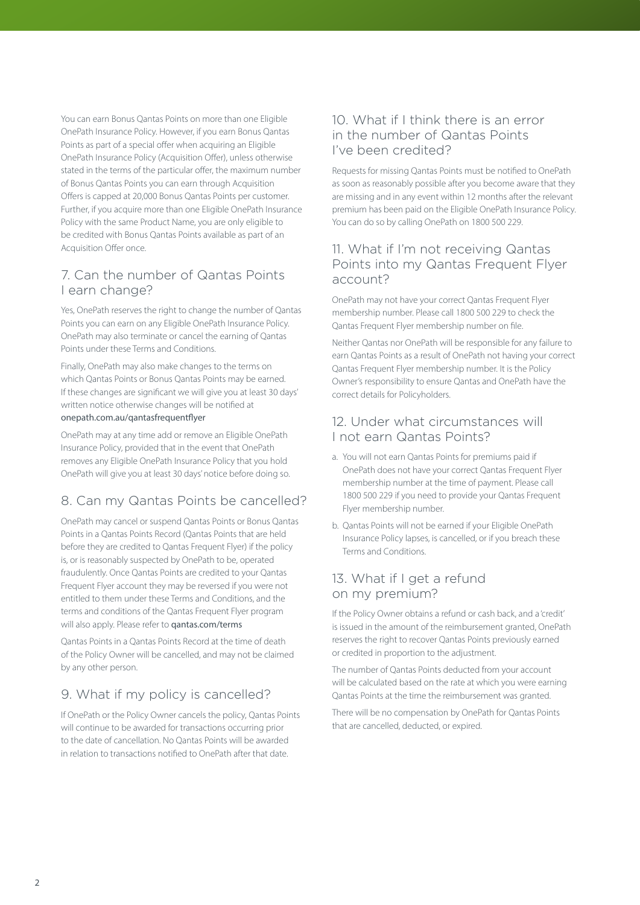You can earn Bonus Qantas Points on more than one Eligible OnePath Insurance Policy. However, if you earn Bonus Qantas Points as part of a special offer when acquiring an Eligible OnePath Insurance Policy (Acquisition Offer), unless otherwise stated in the terms of the particular offer, the maximum number of Bonus Qantas Points you can earn through Acquisition Offers is capped at 20,000 Bonus Qantas Points per customer. Further, if you acquire more than one Eligible OnePath Insurance Policy with the same Product Name, you are only eligible to be credited with Bonus Qantas Points available as part of an Acquisition Offer once.

### 7. Can the number of Qantas Points I earn change?

Yes, OnePath reserves the right to change the number of Qantas Points you can earn on any Eligible OnePath Insurance Policy. OnePath may also terminate or cancel the earning of Qantas Points under these Terms and Conditions.

Finally, OnePath may also make changes to the terms on which Qantas Points or Bonus Qantas Points may be earned. If these changes are significant we will give you at least 30 days' written notice otherwise changes will be notified at [onepath.com.au/qantasfrequentflyer](http://onepath.com.au/qantasfrequentflyer)

OnePath may at any time add or remove an Eligible OnePath Insurance Policy, provided that in the event that OnePath removes any Eligible OnePath Insurance Policy that you hold OnePath will give you at least 30 days' notice before doing so.

# 8. Can my Qantas Points be cancelled?

OnePath may cancel or suspend Qantas Points or Bonus Qantas Points in a Qantas Points Record (Qantas Points that are held before they are credited to Qantas Frequent Flyer) if the policy is, or is reasonably suspected by OnePath to be, operated fraudulently. Once Qantas Points are credited to your Qantas Frequent Flyer account they may be reversed if you were not entitled to them under these Terms and Conditions, and the terms and conditions of the Qantas Frequent Flyer program will also apply. Please refer to **gantas.com/terms** 

Qantas Points in a Qantas Points Record at the time of death of the Policy Owner will be cancelled, and may not be claimed by any other person.

# 9. What if my policy is cancelled?

If OnePath or the Policy Owner cancels the policy, Qantas Points will continue to be awarded for transactions occurring prior to the date of cancellation. No Qantas Points will be awarded in relation to transactions notified to OnePath after that date.

### 10. What if I think there is an error in the number of Qantas Points I've been credited?

Requests for missing Qantas Points must be notified to OnePath as soon as reasonably possible after you become aware that they are missing and in any event within 12 months after the relevant premium has been paid on the Eligible OnePath Insurance Policy. You can do so by calling OnePath on 1800 500 229.

### 11. What if I'm not receiving Qantas Points into my Qantas Frequent Flyer account?

OnePath may not have your correct Qantas Frequent Flyer membership number. Please call 1800 500 229 to check the Qantas Frequent Flyer membership number on file.

Neither Qantas nor OnePath will be responsible for any failure to earn Qantas Points as a result of OnePath not having your correct Qantas Frequent Flyer membership number. It is the Policy Owner's responsibility to ensure Qantas and OnePath have the correct details for Policyholders.

### 12. Under what circumstances will I not earn Qantas Points?

- a. You will not earn Qantas Points for premiums paid if OnePath does not have your correct Qantas Frequent Flyer membership number at the time of payment. Please call 1800 500 229 if you need to provide your Qantas Frequent Flyer membership number.
- b. Qantas Points will not be earned if your Eligible OnePath Insurance Policy lapses, is cancelled, or if you breach these Terms and Conditions.

### 13. What if I get a refund on my premium?

If the Policy Owner obtains a refund or cash back, and a 'credit' is issued in the amount of the reimbursement granted, OnePath reserves the right to recover Qantas Points previously earned or credited in proportion to the adjustment.

The number of Qantas Points deducted from your account will be calculated based on the rate at which you were earning Qantas Points at the time the reimbursement was granted.

There will be no compensation by OnePath for Qantas Points that are cancelled, deducted, or expired.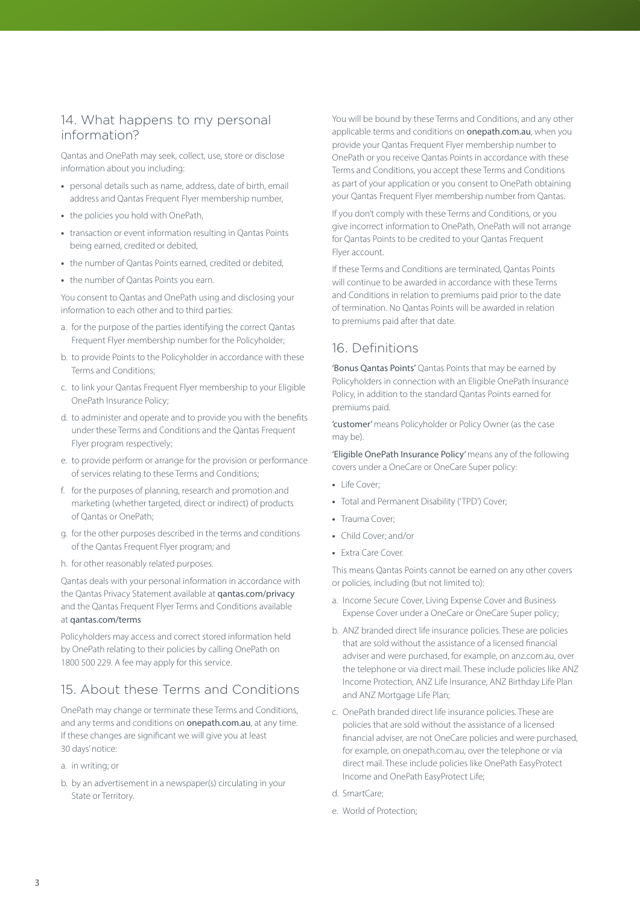### 14. What happens to my personal information?

Qantas and OnePath may seek, collect, use, store or disclose information about you including:

- **•** personal details such as name, address, date of birth, email address and Oantas Frequent Flyer membership number,
- **•** the policies you hold with OnePath,
- **•** transaction or event information resulting in Qantas Points being earned, credited or debited,
- **•** the number of Qantas Points earned, credited or debited,
- **•** the number of Qantas Points you earn.

You consent to Qantas and OnePath using and disclosing your information to each other and to third parties:

- a. for the purpose of the parties identifying the correct Qantas Frequent Flyer membership number for the Policyholder:
- b. to provide Points to the Policyholder in accordance with these Terms and Conditions;
- c. to link your Qantas Frequent Flyer membership to your Eligible OnePath Insurance Policy;
- d. to administer and operate and to provide you with the benefits under these Terms and Conditions and the Qantas Frequent Flyer program respectively;
- e. to provide perform or arrange for the provision or performance of services relating to these Terms and Conditions;
- f. for the purposes of planning, research and promotion and marketing (whether targeted, direct or indirect) of products of Qantas or OnePath;
- g. for the other purposes described in the terms and conditions of the Qantas Frequent Flyer program; and
- h. for other reasonably related purposes.

Qantas deals with your personal information in accordance with the Qantas Privacy Statement available at [qantas.com/privacy](http://qantas.com/privacy) and the Qantas Frequent Flyer Terms and Conditions available at [qantas.com/terms](http://qantas.com/terms)

Policyholders may access and correct stored information held by OnePath relating to their policies by calling OnePath on 1800 500 229. A fee may apply for this service.

# 15. About these Terms and Conditions

OnePath may change or terminate these Terms and Conditions, and any terms and conditions on **[onepath.com.au](http://onepath.com.au)**, at any time. If these changes are significant we will give you at least 30 days' notice:

- a. in writing; or
- b. by an advertisement in a newspaper(s) circulating in your State or Territory.

You will be bound by these Terms and Conditions, and any other applicable terms and conditions on [onepath.com.au](http://onepath.com.au), when you provide your Qantas Frequent Flyer membership number to OnePath or you receive Qantas Points in accordance with these Terms and Conditions, you accept these Terms and Conditions as part of your application or you consent to OnePath obtaining your Qantas Frequent Flyer membership number from Qantas.

If you don't comply with these Terms and Conditions, or you give incorrect information to OnePath, OnePath will not arrange for Qantas Points to be credited to your Qantas Frequent Flyer account.

If these Terms and Conditions are terminated, Qantas Points will continue to be awarded in accordance with these Terms and Conditions in relation to premiums paid prior to the date of termination. No Qantas Points will be awarded in relation to premiums paid after that date.

### 16. Definitions

'Bonus Qantas Points' Qantas Points that may be earned by Policyholders in connection with an Eligible OnePath Insurance Policy, in addition to the standard Qantas Points earned for premiums paid.

'customer' means Policyholder or Policy Owner (as the case may be).

'Eligible OnePath Insurance Policy' means any of the following covers under a OneCare or OneCare Super policy:

- **•** Life Cover;
- **•** Total and Permanent Disability ('TPD') Cover;
- **•** Trauma Cover;
- **•** Child Cover; and/or
- **•** Extra Care Cover.

This means Qantas Points cannot be earned on any other covers or policies, including (but not limited to):

- a. Income Secure Cover, Living Expense Cover and Business Expense Cover under a OneCare or OneCare Super policy;
- b. ANZ branded direct life insurance policies. These are policies that are sold without the assistance of a licensed financial adviser and were purchased, for example, on anz.com.au, over the telephone or via direct mail. These include policies like ANZ Income Protection, ANZ Life Insurance, ANZ Birthday Life Plan and ANZ Mortgage Life Plan;
- c. OnePath branded direct life insurance policies. These are policies that are sold without the assistance of a licensed financial adviser, are not OneCare policies and were purchased, for example, on onepath.com.au, over the telephone or via direct mail. These include policies like OnePath EasyProtect Income and OnePath EasyProtect Life;
- d. SmartCare;
- e. World of Protection;